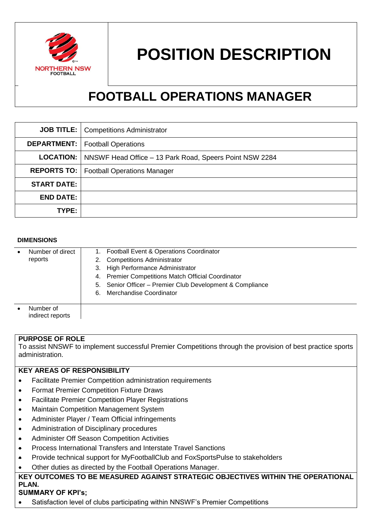

# **POSITION DESCRIPTION**

## **FOOTBALL OPERATIONS MANAGER**

|                    | <b>JOB TITLE:</b>   Competitions Administrator                             |
|--------------------|----------------------------------------------------------------------------|
|                    | <b>DEPARTMENT:</b>   Football Operations                                   |
|                    | <b>LOCATION:</b>   NNSWF Head Office – 13 Park Road, Speers Point NSW 2284 |
|                    | <b>REPORTS TO:</b>   Football Operations Manager                           |
| <b>START DATE:</b> |                                                                            |
| <b>END DATE:</b>   |                                                                            |
| TYPE:              |                                                                            |

#### **DIMENSIONS**

| Number of direct              | 1. Football Event & Operations Coordinator                |
|-------------------------------|-----------------------------------------------------------|
| reports                       | 2. Competitions Administrator                             |
|                               | 3. High Performance Administrator                         |
|                               | 4. Premier Competitions Match Official Coordinator        |
|                               | 5. Senior Officer - Premier Club Development & Compliance |
|                               | Merchandise Coordinator<br>6.                             |
|                               |                                                           |
| Number of<br>indirect reports |                                                           |

#### **PURPOSE OF ROLE**

To assist NNSWF to implement successful Premier Competitions through the provision of best practice sports administration.

#### **KEY AREAS OF RESPONSIBILITY**

- Facilitate Premier Competition administration requirements
- Format Premier Competition Fixture Draws
- Facilitate Premier Competition Player Registrations
- Maintain Competition Management System
- Administer Player / Team Official infringements
- Administration of Disciplinary procedures
- Administer Off Season Competition Activities
- Process International Transfers and Interstate Travel Sanctions
- Provide technical support for MyFootballClub and FoxSportsPulse to stakeholders
- Other duties as directed by the Football Operations Manager.

### **KEY OUTCOMES TO BE MEASURED AGAINST STRATEGIC OBJECTIVES WITHIN THE OPERATIONAL PLAN.**

#### **SUMMARY OF KPI's;**

Satisfaction level of clubs participating within NNSWF's Premier Competitions